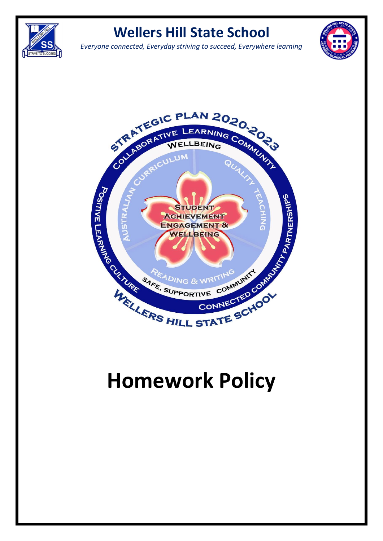

*Everyone connected, Everyday striving to succeed, Everywhere learning*





# **Homework Policy**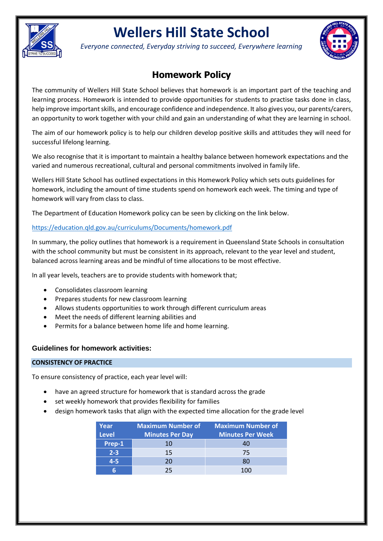

*Everyone connected, Everyday striving to succeed, Everywhere learning*



### **Homework Policy**

The community of Wellers Hill State School believes that homework is an important part of the teaching and learning process. Homework is intended to provide opportunities for students to practise tasks done in class, help improve important skills, and encourage confidence and independence. It also gives you, our parents/carers, an opportunity to work together with your child and gain an understanding of what they are learning in school.

The aim of our homework policy is to help our children develop positive skills and attitudes they will need for successful lifelong learning.

We also recognise that it is important to maintain a healthy balance between homework expectations and the varied and numerous recreational, cultural and personal commitments involved in family life.

Wellers Hill State School has outlined expectations in this Homework Policy which sets outs guidelines for homework, including the amount of time students spend on homework each week. The timing and type of homework will vary from class to class.

The Department of Education Homework policy can be seen by clicking on the link below.

#### <https://education.qld.gov.au/curriculums/Documents/homework.pdf>

In summary, the policy outlines that homework is a requirement in Queensland State Schools in consultation with the school community but must be consistent in its approach, relevant to the year level and student, balanced across learning areas and be mindful of time allocations to be most effective.

In all year levels, teachers are to provide students with homework that;

- Consolidates classroom learning
- Prepares students for new classroom learning
- Allows students opportunities to work through different curriculum areas
- Meet the needs of different learning abilities and
- Permits for a balance between home life and home learning.

#### **Guidelines for homework activities:**

#### **CONSISTENCY OF PRACTICE**

To ensure consistency of practice, each year level will:

- have an agreed structure for homework that is standard across the grade
- set weekly homework that provides flexibility for families
- design homework tasks that align with the expected time allocation for the grade level

| Year<br><b>Level</b> | <b>Maximum Number of</b><br><b>Minutes Per Day</b> | <b>Maximum Number of</b><br><b>Minutes Per Week</b> |
|----------------------|----------------------------------------------------|-----------------------------------------------------|
| Prep-1               | 10                                                 | 40                                                  |
| $2 - 3$              | 15                                                 | 75                                                  |
| 4-5                  | 20                                                 | 80                                                  |
|                      | つら                                                 | 100                                                 |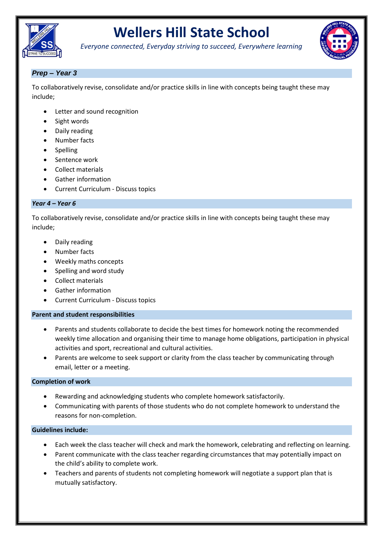

*Everyone connected, Everyday striving to succeed, Everywhere learning*



#### *Prep – Year 3*

To collaboratively revise, consolidate and/or practice skills in line with concepts being taught these may include;

- Letter and sound recognition
- Sight words
- Daily reading
- Number facts
- **Spelling**
- Sentence work
- Collect materials
- Gather information
- Current Curriculum Discuss topics

#### *Year 4 – Year 6*

To collaboratively revise, consolidate and/or practice skills in line with concepts being taught these may include;

- Daily reading
- Number facts
- Weekly maths concepts
- Spelling and word study
- Collect materials
- Gather information
- Current Curriculum Discuss topics

#### **Parent and student responsibilities**

- Parents and students collaborate to decide the best times for homework noting the recommended weekly time allocation and organising their time to manage home obligations, participation in physical activities and sport, recreational and cultural activities.
- Parents are welcome to seek support or clarity from the class teacher by communicating through email, letter or a meeting.

#### **Completion of work**

- Rewarding and acknowledging students who complete homework satisfactorily.
- Communicating with parents of those students who do not complete homework to understand the reasons for non-completion.

#### **Guidelines include:**

- Each week the class teacher will check and mark the homework, celebrating and reflecting on learning.
- Parent communicate with the class teacher regarding circumstances that may potentially impact on the child's ability to complete work.
- Teachers and parents of students not completing homework will negotiate a support plan that is mutually satisfactory.